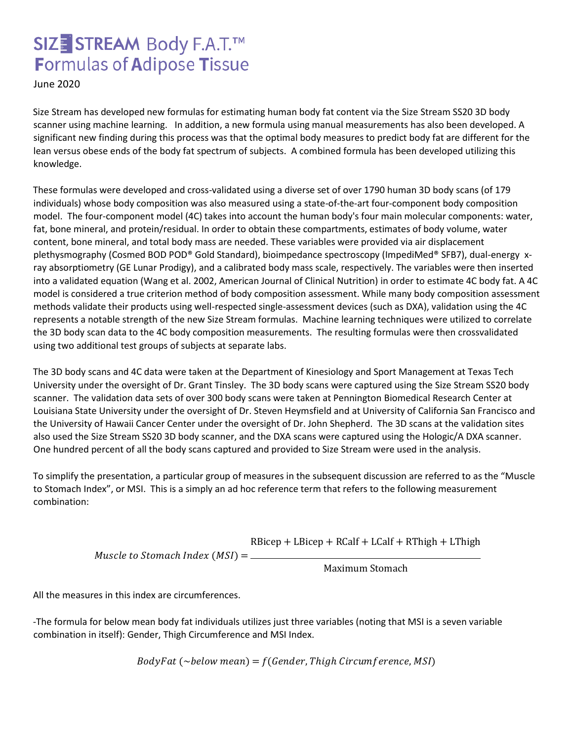# SIZE STREAM Body F.A.T.™ **Formulas of Adipose Tissue**

June 2020

Size Stream has developed new formulas for estimating human body fat content via the Size Stream SS20 3D body scanner using machine learning. In addition, a new formula using manual measurements has also been developed. A significant new finding during this process was that the optimal body measures to predict body fat are different for the lean versus obese ends of the body fat spectrum of subjects. A combined formula has been developed utilizing this knowledge.

These formulas were developed and cross-validated using a diverse set of over 1790 human 3D body scans (of 179 individuals) whose body composition was also measured using a state-of-the-art four-component body composition model. The four-component model (4C) takes into account the human body's four main molecular components: water, fat, bone mineral, and protein/residual. In order to obtain these compartments, estimates of body volume, water content, bone mineral, and total body mass are needed. These variables were provided via air displacement plethysmography (Cosmed BOD POD® Gold Standard), bioimpedance spectroscopy (ImpediMed® SFB7), dual-energy xray absorptiometry (GE Lunar Prodigy), and a calibrated body mass scale, respectively. The variables were then inserted into a validated equation (Wang et al. 2002, American Journal of Clinical Nutrition) in order to estimate 4C body fat. A 4C model is considered a true criterion method of body composition assessment. While many body composition assessment methods validate their products using well-respected single-assessment devices (such as DXA), validation using the 4C represents a notable strength of the new Size Stream formulas. Machine learning techniques were utilized to correlate the 3D body scan data to the 4C body composition measurements. The resulting formulas were then crossvalidated using two additional test groups of subjects at separate labs.

The 3D body scans and 4C data were taken at the Department of Kinesiology and Sport Management at Texas Tech University under the oversight of Dr. Grant Tinsley. The 3D body scans were captured using the Size Stream SS20 body scanner. The validation data sets of over 300 body scans were taken at Pennington Biomedical Research Center at Louisiana State University under the oversight of Dr. Steven Heymsfield and at University of California San Francisco and the University of Hawaii Cancer Center under the oversight of Dr. John Shepherd. The 3D scans at the validation sites also used the Size Stream SS20 3D body scanner, and the DXA scans were captured using the Hologic/A DXA scanner. One hundred percent of all the body scans captured and provided to Size Stream were used in the analysis.

To simplify the presentation, a particular group of measures in the subsequent discussion are referred to as the "Muscle to Stomach Index", or MSI. This is a simply an ad hoc reference term that refers to the following measurement combination:

 $RBicep + LBicep + RCalf + LCalf + RThigh + LThigh$ 

 $Muscle to Stomach Index (MSI) = \_\_$ 

Maximum Stomach

All the measures in this index are circumferences.

-The formula for below mean body fat individuals utilizes just three variables (noting that MSI is a seven variable combination in itself): Gender, Thigh Circumference and MSI Index.

 $Body Fat (\sim below mean) = f(Gender, Thigh Circumference, MSI)$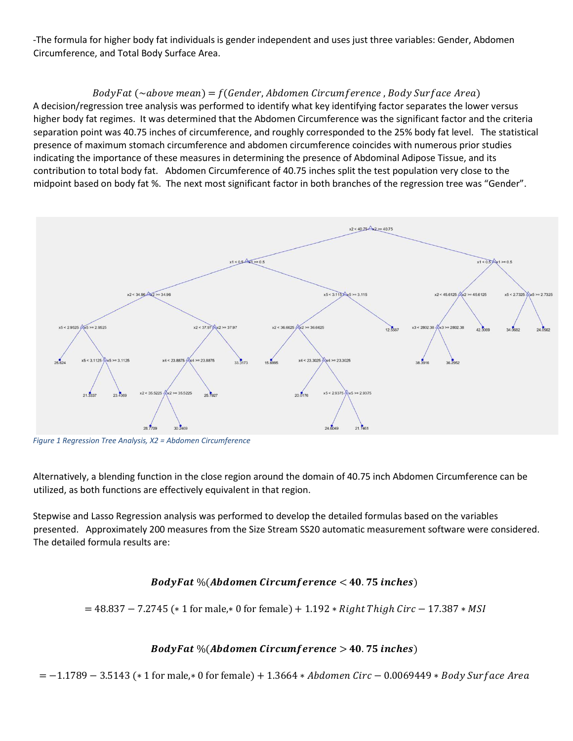-The formula for higher body fat individuals is gender independent and uses just three variables: Gender, Abdomen Circumference, and Total Body Surface Area.

#### $Body Fat (\sim above \, mean) = f(Gender, Abdomen Circumference, Body Surface \, Area)$

A decision/regression tree analysis was performed to identify what key identifying factor separates the lower versus higher body fat regimes. It was determined that the Abdomen Circumference was the significant factor and the criteria separation point was 40.75 inches of circumference, and roughly corresponded to the 25% body fat level. The statistical presence of maximum stomach circumference and abdomen circumference coincides with numerous prior studies indicating the importance of these measures in determining the presence of Abdominal Adipose Tissue, and its contribution to total body fat. Abdomen Circumference of 40.75 inches split the test population very close to the midpoint based on body fat %. The next most significant factor in both branches of the regression tree was "Gender".



*Figure 1 Regression Tree Analysis, X2 = Abdomen Circumference* 

Alternatively, a blending function in the close region around the domain of 40.75 inch Abdomen Circumference can be utilized, as both functions are effectively equivalent in that region.

Stepwise and Lasso Regression analysis was performed to develop the detailed formulas based on the variables presented. Approximately 200 measures from the Size Stream SS20 automatic measurement software were considered. The detailed formula results are:

## $BodyFat\ % (Abdomen Circumference < 40.75 inches)$

 $= 48.837 - 7.2745$  (\* 1 for male,\* 0 for female) + 1.192 \* Right Thigh Circ – 17.387 \* MSI

## $BodyFat\ % (Abdomen Circumference > 40.75 inches)$

 $= -1.1789 - 3.5143$  (\* 1 for male,\* 0 for female) + 1.3664 \* Abdomen Circ – 0.0069449 \* Body Surface Area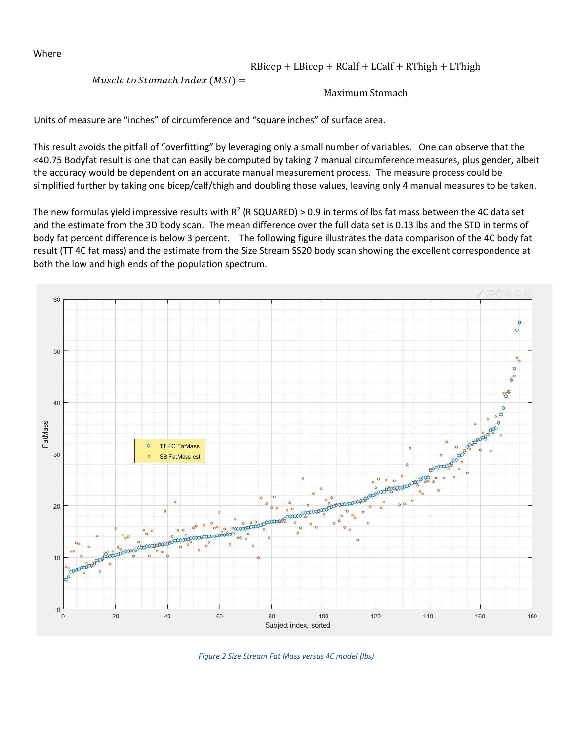Where

 $RBicep + LBicep + RCalf + LCalf + RThigh + LThigh$ 

Muscle to Stomach Index  $(MSI) =$ 

#### Maximum Stomach

Units of measure are "inches" of circumference and "square inches" of surface area.

This result avoids the pitfall of "overfitting" by leveraging only a small number of variables. One can observe that the <40.75 Bodyfat result is one that can easily be computed by taking 7 manual circumference measures, plus gender, albeit the accuracy would be dependent on an accurate manual measurement process. The measure process could be simplified further by taking one bicep/calf/thigh and doubling those values, leaving only 4 manual measures to be taken.

The new formulas yield impressive results with  $R^2$  (R SQUARED) > 0.9 in terms of lbs fat mass between the 4C data set and the estimate from the 3D body scan. The mean difference over the full data set is 0.13 lbs and the STD in terms of body fat percent difference is below 3 percent. The following figure illustrates the data comparison of the 4C body fat result (TT 4C fat mass) and the estimate from the Size Stream SS20 body scan showing the excellent correspondence at both the low and high ends of the population spectrum.



*Figure 2 Size Stream Fat Mass versus 4C model (lbs)*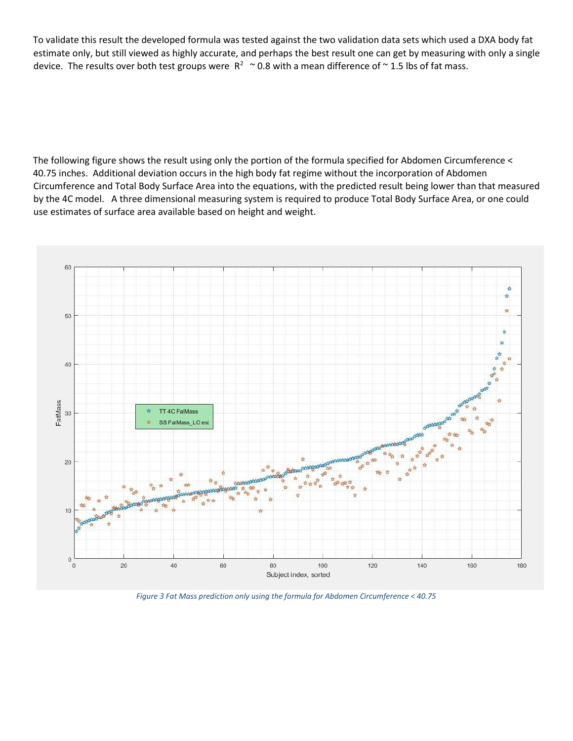To validate this result the developed formula was tested against the two validation data sets which used a DXA body fat estimate only, but still viewed as highly accurate, and perhaps the best result one can get by measuring with only a single device. The results over both test groups were  $R^2 \sim 0.8$  with a mean difference of  $\sim$  1.5 lbs of fat mass.

The following figure shows the result using only the portion of the formula specified for Abdomen Circumference < 40.75 inches. Additional deviation occurs in the high body fat regime without the incorporation of Abdomen Circumference and Total Body Surface Area into the equations, with the predicted result being lower than that measured by the 4C model. A three dimensional measuring system is required to produce Total Body Surface Area, or one could use estimates of surface area available based on height and weight.



*Figure 3 Fat Mass prediction only using the formula for Abdomen Circumference < 40.75*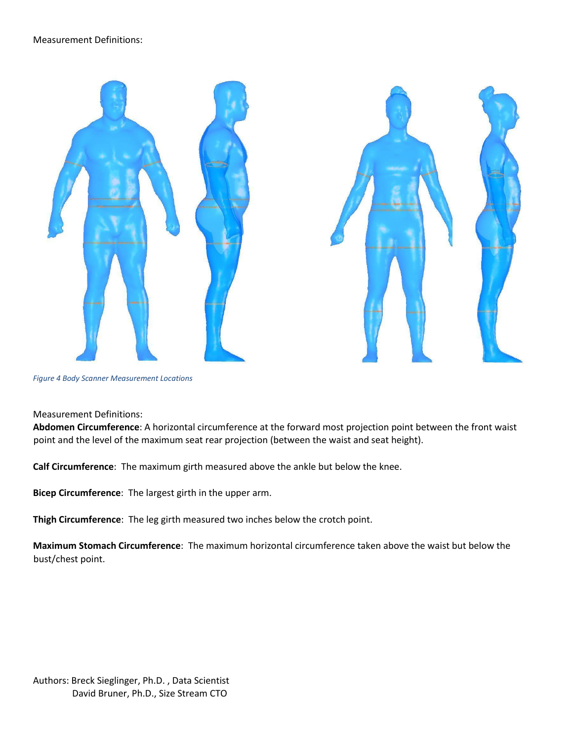



*Figure 4 Body Scanner Measurement Locations* 

Measurement Definitions:

**Abdomen Circumference**: A horizontal circumference at the forward most projection point between the front waist point and the level of the maximum seat rear projection (between the waist and seat height).

**Calf Circumference**: The maximum girth measured above the ankle but below the knee.

**Bicep Circumference**: The largest girth in the upper arm.

**Thigh Circumference**: The leg girth measured two inches below the crotch point.

**Maximum Stomach Circumference**: The maximum horizontal circumference taken above the waist but below the bust/chest point.